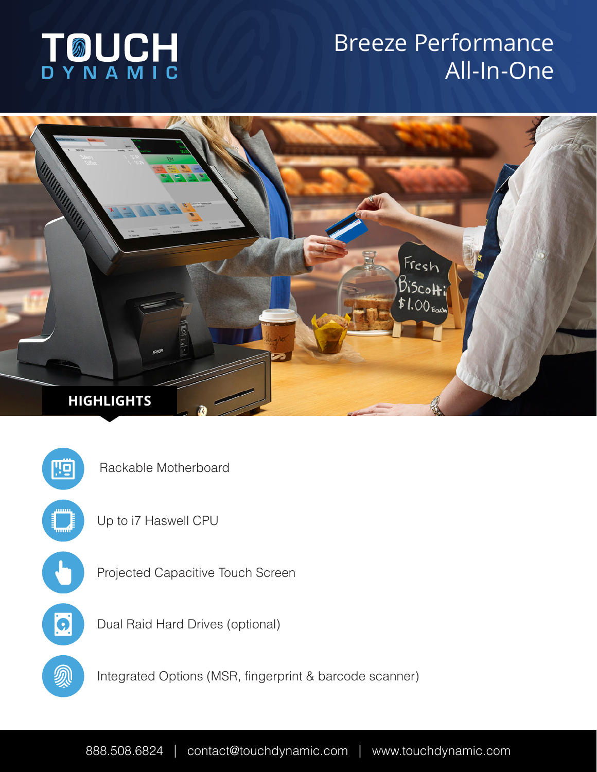# **TOUCH**

## Breeze Performance All-In-One